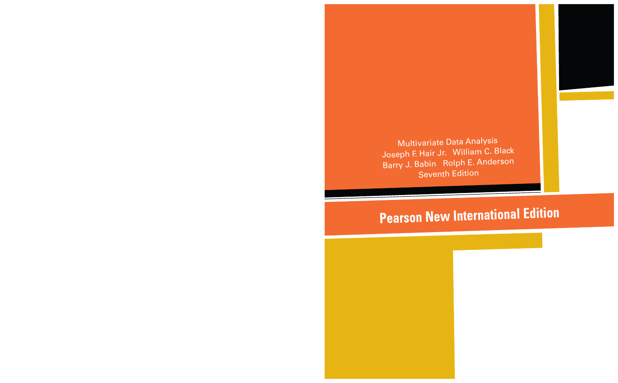Multivariate Data Analysis Joseph F. Hair Jr. William C. Black Barry J. Babin Rolph E. Anderson Seventh Edition

# **Pearson New International Edition**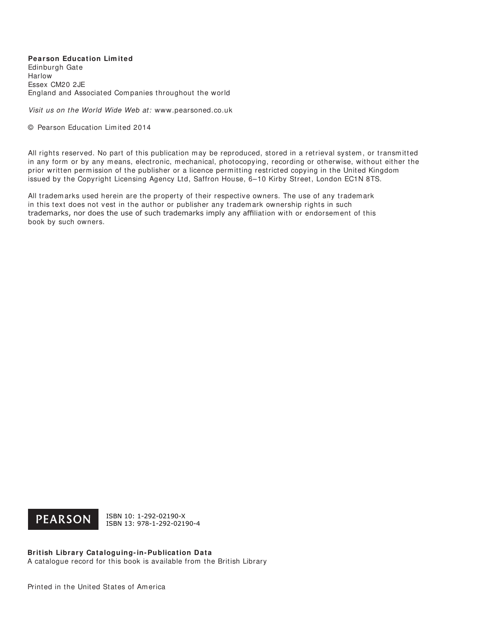**Pearson Education Lim ited** Edinburgh Gate Harlow Essex CM20 2JE England and Associated Com panies throughout the world

Visit us on the World Wide Web at: www.pearsoned.co.uk

© Pearson Education Lim ited 2014

All rights reserved. No part of this publication m ay be reproduced, stored in a retrieval system , or transm itted in any form or by any means, electronic, mechanical, photocopying, recording or otherwise, without either the prior written perm ission of the publisher or a licence perm itting restricted copying in the United Kingdom issued by the Copyright Licensing Agency Ltd, Saffron House, 6–10 Kirby Street, London EC1N 8TS.

All tradem arks used herein are the property of their respective owners. The use of any tradem ark in this text does not vest in the author or publisher any tradem ark ownership rights in such trademarks, nor does the use of such trademarks imply any affiliation with or endorsement of this book by such owners.



ISBN 10: 1-292-02190-X ISBN 13: 978-1-292-02190-4

# **British Library Cataloguing- in- Publication Data** A catalogue record for this book is available from the British Library

Printed in the United States of America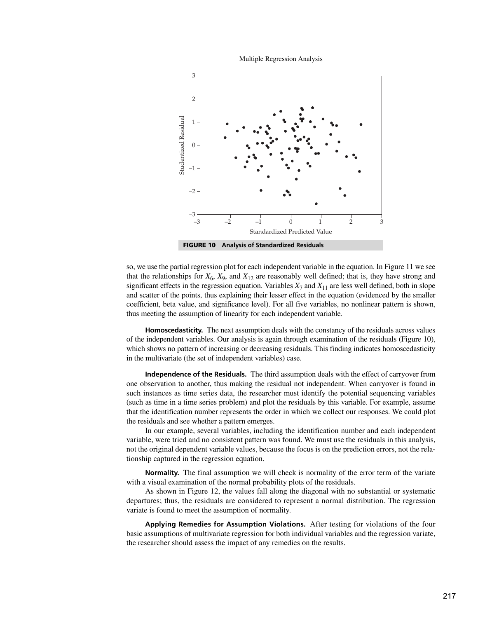

so, we use the partial regression plot for each independent variable in the equation. In Figure 11 we see that the relationships for  $X_6$ ,  $X_9$ , and  $X_{12}$  are reasonably well defined; that is, they have strong and significant effects in the regression equation. Variables  $X_7$  and  $X_{11}$  are less well defined, both in slope and scatter of the points, thus explaining their lesser effect in the equation (evidenced by the smaller coefficient, beta value, and significance level). For all five variables, no nonlinear pattern is shown, thus meeting the assumption of linearity for each independent variable.

**Homoscedasticity.** The next assumption deals with the constancy of the residuals across values of the independent variables. Our analysis is again through examination of the residuals (Figure 10), which shows no pattern of increasing or decreasing residuals. This finding indicates homoscedasticity in the multivariate (the set of independent variables) case.

**Independence of the Residuals.** The third assumption deals with the effect of carryover from one observation to another, thus making the residual not independent. When carryover is found in such instances as time series data, the researcher must identify the potential sequencing variables (such as time in a time series problem) and plot the residuals by this variable. For example, assume that the identification number represents the order in which we collect our responses. We could plot the residuals and see whether a pattern emerges.

In our example, several variables, including the identification number and each independent variable, were tried and no consistent pattern was found. We must use the residuals in this analysis, not the original dependent variable values, because the focus is on the prediction errors, not the relationship captured in the regression equation.

**Normality.** The final assumption we will check is normality of the error term of the variate with a visual examination of the normal probability plots of the residuals.

As shown in Figure 12, the values fall along the diagonal with no substantial or systematic departures; thus, the residuals are considered to represent a normal distribution. The regression variate is found to meet the assumption of normality.

**Applying Remedies for Assumption Violations.** After testing for violations of the four basic assumptions of multivariate regression for both individual variables and the regression variate, the researcher should assess the impact of any remedies on the results.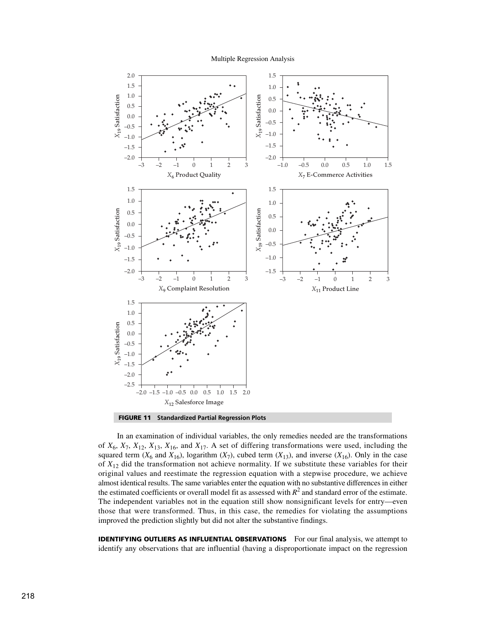



In an examination of individual variables, the only remedies needed are the transformations of  $X_6$ ,  $X_7$ ,  $X_{12}$ ,  $X_{13}$ ,  $X_{16}$ , and  $X_{17}$ . A set of differing transformations were used, including the squared term  $(X_6$  and  $X_{16}$ ), logarithm  $(X_7)$ , cubed term  $(X_{13})$ , and inverse  $(X_{16})$ . Only in the case of *X*<sup>12</sup> did the transformation not achieve normality. If we substitute these variables for their original values and reestimate the regression equation with a stepwise procedure, we achieve almost identical results. The same variables enter the equation with no substantive differences in either the estimated coefficients or overall model fit as assessed with  $R<sup>2</sup>$  and standard error of the estimate. The independent variables not in the equation still show nonsignificant levels for entry—even those that were transformed. Thus, in this case, the remedies for violating the assumptions improved the prediction slightly but did not alter the substantive findings.

**IDENTIFYING OUTLIERS AS INFLUENTIAL OBSERVATIONS** For our final analysis, we attempt to identify any observations that are influential (having a disproportionate impact on the regression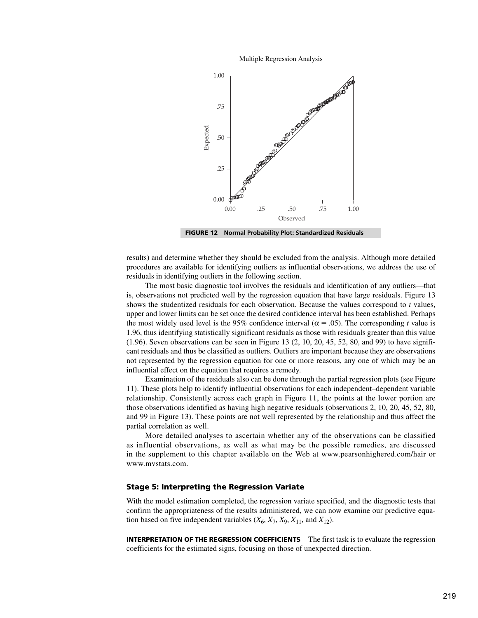

FIGURE 12 **Normal Probability Plot: Standardized Residuals**

results) and determine whether they should be excluded from the analysis. Although more detailed procedures are available for identifying outliers as influential observations, we address the use of residuals in identifying outliers in the following section.

The most basic diagnostic tool involves the residuals and identification of any outliers—that is, observations not predicted well by the regression equation that have large residuals. Figure 13 shows the studentized residuals for each observation. Because the values correspond to *t* values, upper and lower limits can be set once the desired confidence interval has been established. Perhaps the most widely used level is the 95% confidence interval ( $\alpha$  = .05). The corresponding *t* value is 1.96, thus identifying statistically significant residuals as those with residuals greater than this value  $(1.96)$ . Seven observations can be seen in Figure 13  $(2, 10, 20, 45, 52, 80, \text{ and } 99)$  to have significant residuals and thus be classified as outliers. Outliers are important because they are observations not represented by the regression equation for one or more reasons, any one of which may be an influential effect on the equation that requires a remedy. **Example 19**<br> **Cookieved**<br> **Cookieved**<br> **Cookieved**<br> **Cookieved**<br> **Cookieved**<br> **Cookieved**<br> **Cookieved**<br> **Cookieved**<br> **Cookieved**<br> **Cookieved**<br> **Cookieved**<br> **Cookieved**<br> **Cookieved**<br> **Cookieved**<br> **Cookieved**<br> **Cookieved**<br>

Examination of the residuals also can be done through the partial regression plots (see Figure 11). These plots help to identify influential observations for each independent–dependent variable relationship. Consistently across each graph in Figure 11, the points at the lower portion are those observations identified as having high negative residuals (observations 2, 10, 20, 45, 52, 80, and 99 in Figure 13). These points are not well represented by the relationship and thus affect the partial correlation as well.

More detailed analyses to ascertain whether any of the observations can be classified as influential observations, as well as what may be the possible remedies, are discussed in the supplement to this chapter available on the Web at www.pearsonhighered.com/hair or www.mvstats.com.

# Stage 5: Interpreting the Regression Variate

With the model estimation completed, the regression variate specified, and the diagnostic tests that confirm the appropriateness of the results administered, we can now examine our predictive equation based on five independent variables  $(X_6, X_7, X_9, X_{11}, \text{ and } X_{12})$ .

INTERPRETATION OF THE REGRESSION COEFFICIENTS The first task is to evaluate the regression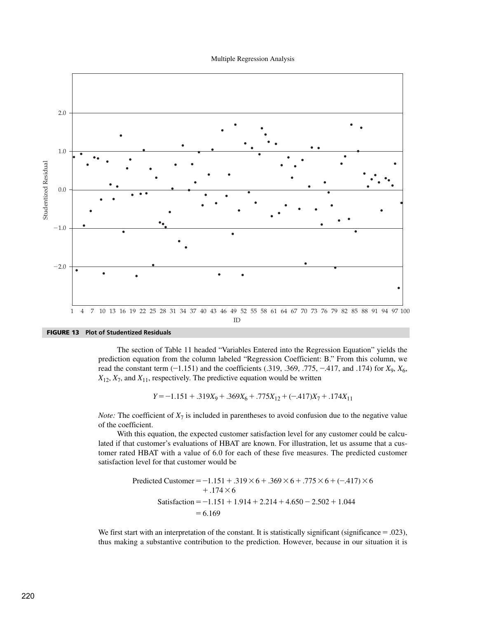



The section of Table 11 headed "Variables Entered into the Regression Equation" yields the prediction equation from the column labeled "Regression Coefficient: B." From this column, we read the constant term  $(-1.151)$  and the coefficients  $(.319, .369, .775, -.417,$  and  $.174)$  for  $X_9, X_6$ ,  $X_{12}$ ,  $X_7$ , and  $X_{11}$ , respectively. The predictive equation would be written

$$
Y = -1.151 + .319X_9 + .369X_6 + .775X_{12} + (-.417)X_7 + .174X_{11}
$$

*Note:* The coefficient of  $X_7$  is included in parentheses to avoid confusion due to the negative value of the coefficient.

With this equation, the expected customer satisfaction level for any customer could be calculated if that customer's evaluations of HBAT are known. For illustration, let us assume that a customer rated HBAT with a value of 6.0 for each of these five measures. The predicted customer satisfaction level for that customer would be

Predicted Customer = -1.151 + .319 \* 6 + .369 \* 6 + .775 \* 6 + (-.417) \* 6 + .174 \* 6 Satisfaction = -1.151 + 1.914 + 2.214 + 4.650 - 2.502 + 1.044 = 6.169

We first start with an interpretation of the constant. It is statistically significant (significance = .023), thus making a substantive contribution to the prediction. However, because in our situation it is